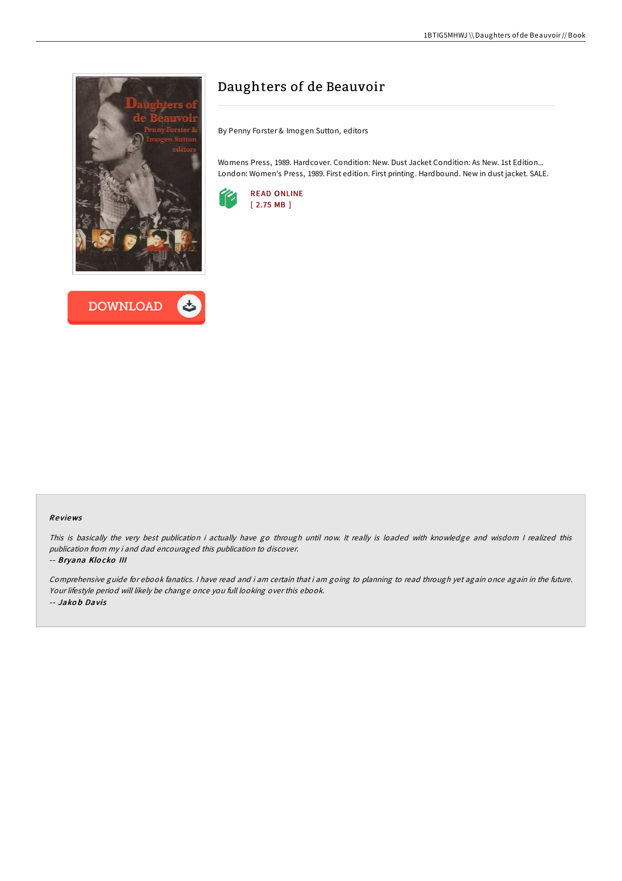



# Daughters of de Beauvoir

By Penny Forster & Imogen Sutton, editors

Womens Press, 1989. Hardcover. Condition: New. Dust Jacket Condition: As New. 1st Edition... London: Women's Press, 1989. First edition. First printing. Hardbound. New in dust jacket. SALE.



### Re views

This is basically the very best publication i actually have go through until now. It really is loaded with knowledge and wisdom I realized this publication from my i and dad encouraged this publication to discover.

#### -- Bryana Klo cko III

Comprehensive guide for ebook fanatics. <sup>I</sup> have read and i am certain that i am going to planning to read through yet again once again in the future. Your lifestyle period will likely be change once you full looking over this ebook. -- Jako b Davis